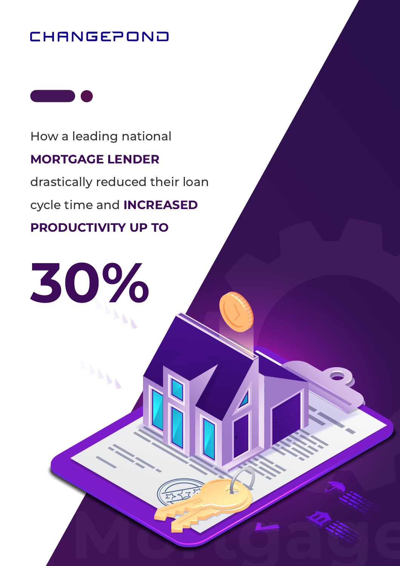#### CHANGEPOND



How a leading national

#### MORTGAGE LENDER

drastically reduced their loan

Mortgage Contractor

cycle time and INCREASED

PRODUCTIVITY UP TO

30%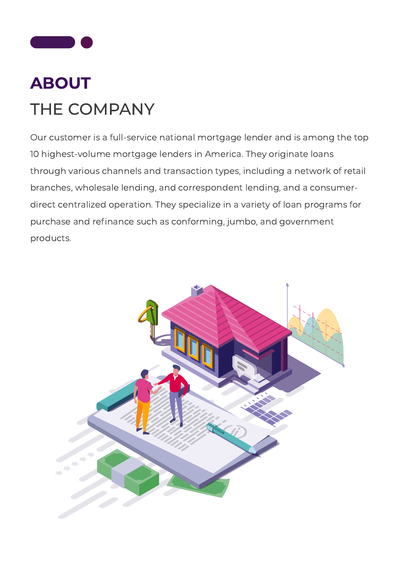

#### ABOUT THE COMPANY

Our customer is a full-service national mortgage lender and is among the top 10 highest-volume mortgage lenders in America. They originate loans through various channels and transaction types, including a network of retail branches, wholesale lending, and correspondent lending, and a consumerdirect centralized operation. They specialize in a variety of loan programs for purchase and refinance such as conforming, jumbo, and government products.

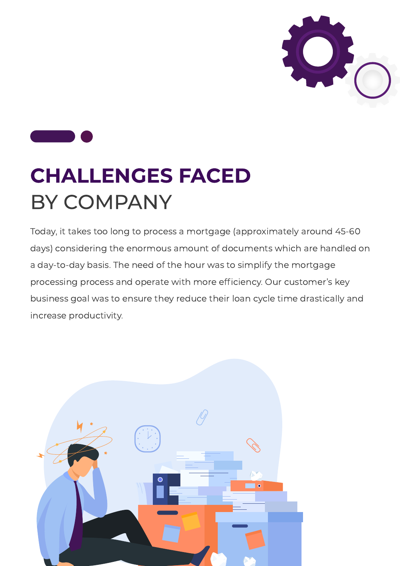



## CHALLENGES FACED BY COMPANY

Today, it takes too long to process a mortgage (approximately around 45-60 days) considering the enormous amount of documents which are handled on a day-to-day basis. The need of the hour was to simplify the mortgage processing process and operate with more efficiency. Our customer's key business goal was to ensure they reduce their loan cycle time drastically and increase productivity.

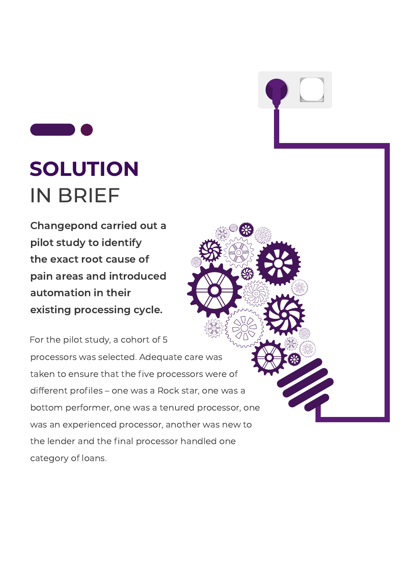## SOLUTION IN BRIEF

Changepond carried out a pilot study to identify the exact root cause of pain areas and introduced automation in their existing processing cycle.

For the pilot study, a cohort of 5 processors was selected. Adequate care was taken to ensure that the five processors were of different profiles – one was a Rock star, one was a bottom performer, one was a tenured processor, one was an experienced processor, another was new to the lender and the final processor handled one category of loans.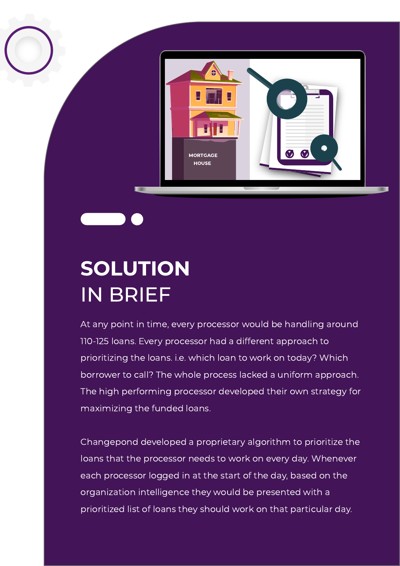

#### SOLUTION IN BRIEF

At any point in time, every processor would be handling around 110-125 loans. Every processor had a different approach to prioritizing the loans. i.e. which loan to work on today? Which borrower to call? The whole process lacked a uniform approach. The high performing processor developed their own strategy for maximizing the funded loans.

Changepond developed a proprietary algorithm to prioritize the loans that the processor needs to work on every day. Whenever each processor logged in at the start of the day, based on the organization intelligence they would be presented with a prioritized list of loans they should work on that particular day.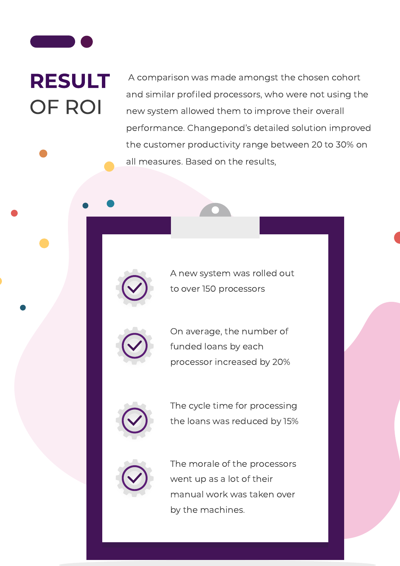## RESULT OF ROI

A comparison was made amongst the chosen cohort and similar profiled processors, who were not using the new system allowed them to improve their overall performance. Changepond's detailed solution improved the customer productivity range between 20 to 30% on all measures. Based on the results,



A new system was rolled out to over 150 processors



On average, the number of funded loans by each processor increased by 20%



The cycle time for processing the loans was reduced by 15%



The morale of the processors went up as a lot of their manual work was taken over by the machines.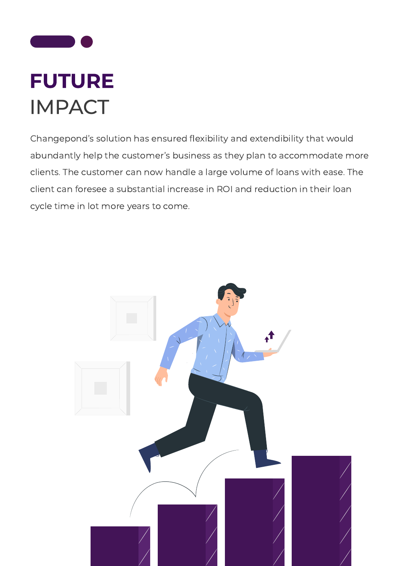

Changepond's solution has ensured flexibility and extendibility that would abundantly help the customer's business as they plan to accommodate more clients. The customer can now handle a large volume of loans with ease. The client can foresee a substantial increase in ROI and reduction in their loan cycle time in lot more years to come.